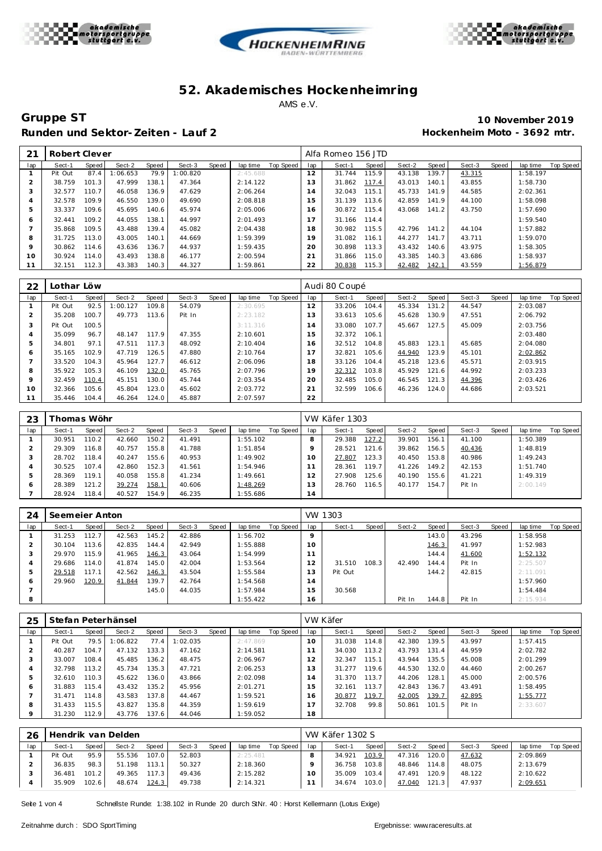





**Gruppe ST 10 November 2019** Runden und Sektor-Zeiten - Lauf 2 **an alle an alle an alle an alle an alle an alle an alle an alle an alle an alle a** 

| 2 <sub>1</sub> | Robert Clever |       |         |       |          |       |          |           |     | Alfa Romeo 156 JTD |       |        |       |        |       |          |           |
|----------------|---------------|-------|---------|-------|----------|-------|----------|-----------|-----|--------------------|-------|--------|-------|--------|-------|----------|-----------|
| lap            | Sect-1        | Speed | Sect-2  | Speed | Sect-3   | Speed | lap time | Top Speed | lap | Sect-1             | Speed | Sect-2 | Speed | Sect-3 | Speed | lap time | Top Speed |
|                | Pit Out       | 87.4  | :06.653 | 79.9  | 1:00.820 |       | 2:45.688 |           | 12  | 31.744             | 115.9 | 43.138 | 139.7 | 43.315 |       | 1:58.197 |           |
| $\overline{2}$ | 38.759        | 101.3 | 47.999  | 138.1 | 47.364   |       | 2:14.122 |           | 13  | 31.862             | 117.4 | 43.013 | 140.1 | 43.855 |       | 1:58.730 |           |
| 3              | 32.577        | 110.7 | 46.058  | 136.9 | 47.629   |       | 2:06.264 |           | 14  | 32.043             | 115.1 | 45.733 | 141.9 | 44.585 |       | 2:02.361 |           |
| 4              | 32.578        | 109.9 | 46.550  | 139.0 | 49.690   |       | 2:08.818 |           | 15  | 31.139             | 113.6 | 42.859 | 141.9 | 44.100 |       | 1:58.098 |           |
| 5              | 33.337        | 109.6 | 45.695  | 140.6 | 45.974   |       | 2:05.006 |           | 16  | 30.872             | 115.4 | 43.068 | 141.2 | 43.750 |       | 1:57.690 |           |
| 6              | 32.441        | 109.2 | 44.055  | 138.1 | 44.997   |       | 2:01.493 |           |     | 31.166             | 114.4 |        |       |        |       | 1:59.540 |           |
|                | 35.868        | 109.5 | 43.488  | 139.4 | 45.082   |       | 2:04.438 |           | 18  | 30.982             | 115.5 | 42.796 | 141.2 | 44.104 |       | 1:57.882 |           |
| 8              | 31.725        | 13.0  | 43.005  | 140.1 | 44.669   |       | 1:59.399 |           | 19  | 31.082             | 116.1 | 44.277 | 141.7 | 43.711 |       | 1:59.070 |           |
| 9              | 30.862        | 114.6 | 43.636  | 136.7 | 44.937   |       | 1:59.435 |           | 20  | 30.898             | 113.3 | 43.432 | 140.6 | 43.975 |       | 1:58.305 |           |
| 10             | 30.924        | 114.0 | 43.493  | 138.8 | 46.177   |       | 2:00.594 |           | 21  | 31.866             | 115.0 | 43.385 | 140.3 | 43.686 |       | 1:58.937 |           |
|                | 32.151        | 112.3 | 43.383  | 140.3 | 44.327   |       | 1:59.861 |           | 22  | 30.838             | 115.3 | 42.482 | 142.1 | 43.559 |       | 1:56.879 |           |

| 22           | Lothar Löw |       |          |       |        |       |          |           |                                  | Audi 80 Coupé |       |        |       |        |       |          |                  |
|--------------|------------|-------|----------|-------|--------|-------|----------|-----------|----------------------------------|---------------|-------|--------|-------|--------|-------|----------|------------------|
| lap          | Sect-1     | Speed | Sect-2   | Speed | Sect-3 | Speed | lap time | Top Speed | lap                              | Sect-1        | Speed | Sect-2 | Speed | Sect-3 | Speed | lap time | <b>Top Speed</b> |
|              | Pit Out    | 92.5  | 1:00.127 | 109.8 | 54.079 |       | 2:30.695 |           | 12                               | 33.206        | 104.4 | 45.334 | 131.2 | 44.547 |       | 2:03.087 |                  |
|              | 35.208     | 100.7 | 49.773   | 113.6 | Pit In |       | 2:23.182 |           | 13                               | 33.613        | 105.6 | 45.628 | 130.9 | 47.551 |       | 2:06.792 |                  |
| 3            | Pit Out    | 100.5 |          |       |        |       | 3:11.316 |           | ×,<br>$\overline{4}$             | 33.080        | 107.7 | 45.667 | 127.5 | 45.009 |       | 2:03.756 |                  |
| 4            | 35.099     | 96.7  | 48.147   | 117.9 | 47.355 |       | 2:10.601 |           | 15                               | 32.372        | 106.1 |        |       |        |       | 2:03.480 |                  |
| 5            | 34.801     | 97.1  | 47.511   | 117.3 | 48.092 |       | 2:10.404 |           | 16                               | 32.512        | 104.8 | 45.883 | 123.1 | 45.685 |       | 2:04.080 |                  |
| <sub>0</sub> | 35.165     | 102.9 | 47.719   | 126.5 | 47.880 |       | 2:10.764 |           | $\overline{ }$<br>$\overline{ }$ | 32.821        | 105.6 | 44.940 | 123.9 | 45.101 |       | 2:02.862 |                  |
|              | 33.520     | 104.3 | 45.964   | 127.7 | 46.612 |       | 2:06.096 |           | 18                               | 33.126        | 104.4 | 45.218 | 123.6 | 45.571 |       | 2:03.915 |                  |
| 8            | 35.922     | 105.3 | 46.109   | 132.0 | 45.765 |       | 2:07.796 |           | 19                               | 32.312        | 103.8 | 45.929 | 121.6 | 44.992 |       | 2:03.233 |                  |
| $\circ$      | 32.459     | 110.4 | 45.151   | 130.0 | 45.744 |       | 2:03.354 |           | 20                               | 32.485        | 105.0 | 46.545 | 121.3 | 44.396 |       | 2:03.426 |                  |
| 10           | 32.366     | 105.6 | 45.804   | 123.0 | 45.602 |       | 2:03.772 |           | 21                               | 32.599        | 106.6 | 46.236 | 124.0 | 44.686 |       | 2:03.521 |                  |
| 11           | 35.446     | 104.4 | 46.264   | 124.0 | 45.887 |       | 2:07.597 |           | 22                               |               |       |        |       |        |       |          |                  |

| 23  |        | Thomas Wöhr |        |       |        |       |          |           |     | VW Käfer 1303 |       |        |       |        |       |          |           |
|-----|--------|-------------|--------|-------|--------|-------|----------|-----------|-----|---------------|-------|--------|-------|--------|-------|----------|-----------|
| lap | Sect-1 | Speed       | Sect-2 | Speed | Sect-3 | Speed | lap time | Top Speed | lap | Sect-1        | Speed | Sect-2 | Speed | Sect-3 | Speed | lap time | Top Speed |
|     | 30.951 | 110.2       | 42.660 | 150.2 | 41.491 |       | 1:55.102 |           | 8   | 29.388        | 127.2 | 39.901 | 156.1 | 41.100 |       | 1:50.389 |           |
|     | 29.309 | 116.8       | 40.757 | 155.8 | 41.788 |       | 1:51.854 |           |     | 28.521        | 121.6 | 39.862 | 156.5 | 40.436 |       | 1:48.819 |           |
|     | 28.702 | 118.4       | 40.247 | 155.6 | 40.953 |       | 1:49.902 |           | 10  | 27.807        | 123.3 | 40.450 | 153.8 | 40.986 |       | 1:49.243 |           |
|     | 30.525 | 107.4       | 42.860 | 152.3 | 41.561 |       | 1:54.946 |           |     | 28.361        | 119.7 | 41.226 | 149.2 | 42.153 |       | 1:51.740 |           |
| ь   | 28.369 | 119.1       | 40.058 | 155.8 | 41.234 |       | 1:49.661 |           | 12  | 27.908        | 125.6 | 40.190 | 155.6 | 41.221 |       | 1:49.319 |           |
| 6   | 28.389 | 121.2       | 39.274 | 158.1 | 40.606 |       | 1:48.269 |           | 13  | 28.760        | 116.5 | 40.177 | 154.7 | Pit In |       | 2:00.149 |           |
|     | 28.924 | 118.4       | 40.527 | 154.9 | 46.235 |       | 1:55.686 |           | 14  |               |       |        |       |        |       |          |           |

| 24  | Seemeier Anton |         |        |       |        |       |          |           | VW.               | 1303    |       |        |       |        |       |          |                  |
|-----|----------------|---------|--------|-------|--------|-------|----------|-----------|-------------------|---------|-------|--------|-------|--------|-------|----------|------------------|
| lap | Sect-1         | Speed   | Sect-2 | Speed | Sect-3 | Speed | lap time | Top Speed | lap               | Sect-1  | Speed | Sect-2 | Speed | Sect-3 | Speed | lap time | <b>Top Speed</b> |
|     | 31.253         | 112.7   | 42.563 | 145.2 | 42.886 |       | 1:56.702 |           | $\Omega$          |         |       |        | 143.0 | 43.296 |       | 1:58.958 |                  |
|     | 30.104         | 13.6    | 42.835 | 144.4 | 42.949 |       | 1:55.888 |           | 10                |         |       |        | 146.3 | 41.997 |       | 1:52.983 |                  |
|     | 29.970         | 115.9   | 41.965 | 146.3 | 43.064 |       | 1:54.999 |           | и<br>$\mathbf{A}$ |         |       |        | 144.4 | 41.600 |       | 1:52.132 |                  |
|     | 29.686         | 114.O I | 41.874 | 145.0 | 42.004 |       | 1:53.564 |           |                   | 31.510  | 108.3 | 42.490 | 144.4 | Pit In |       | 2:25.507 |                  |
| h   | 29.518         | 17.1    | 42.562 | 146.3 | 43.504 |       | 1:55.584 |           | 3                 | Pit Out |       |        | 144.2 | 42.815 |       | 2:11.091 |                  |
| O   | 29.960         | 120.9   | 41.844 | 139.7 | 42.764 |       | 1:54.568 |           | $\overline{A}$    |         |       |        |       |        |       | 1:57.960 |                  |
|     |                |         |        | 145.0 | 44.035 |       | 1:57.984 |           | 5                 | 30.568  |       |        |       |        |       | 1:54.484 |                  |
| 8   |                |         |        |       |        |       | 1:55.422 |           | 16                |         |       | Pit In | 144.8 | Pit In |       | 2:15.934 |                  |

| 25      |         |       | Stefan Peterhänsel |       |          |       |          |           |     | VW Käfer |       |        |       |        |       |          |           |
|---------|---------|-------|--------------------|-------|----------|-------|----------|-----------|-----|----------|-------|--------|-------|--------|-------|----------|-----------|
| lap     | Sect-1  | Speed | Sect-2             | Speed | Sect-3   | Speed | lap time | Top Speed | lap | Sect-1   | Speed | Sect-2 | Speed | Sect-3 | Speed | lap time | Top Speed |
|         | Pit Out | 79.5  | :06.822            | 77.4  | 1:02.035 |       | 2:47.869 |           | 10  | 31.038   | 114.8 | 42.380 | 139.5 | 43.997 |       | 1:57.415 |           |
|         | 40.287  | 104.7 | 47.132             | 133.3 | 47.162   |       | 2:14.581 |           |     | 34.030   | 113.2 | 43.793 | 131.4 | 44.959 |       | 2:02.782 |           |
| 3       | 33.007  | 108.4 | 45.485             | 136.2 | 48.475   |       | 2:06.967 |           | 12  | 32.347   | 115.1 | 43.944 | 135.5 | 45.008 |       | 2:01.299 |           |
| 4       | 32.798  | 13.2  | 45.734             | 135.3 | 47.721   |       | 2:06.253 |           | 13  | 31.277   | 119.6 | 44.530 | 132.0 | 44.460 |       | 2:00.267 |           |
| 5       | 32.610  | 10.3  | 45.622             | 136.0 | 43.866   |       | 2:02.098 |           | 4   | 31.370   | 113.7 | 44.206 | 128.1 | 45.000 |       | 2:00.576 |           |
| 6       | 31.883  | 115.4 | 43.432             | 135.2 | 45.956   |       | 2:01.271 |           | 15  | 32.161   | 113.7 | 42.843 | 136.7 | 43.491 |       | 1:58.495 |           |
|         | 31.471  | '14.8 | 43.583             | 137.8 | 44.467   |       | 1:59.521 |           | 16  | 30.877   | 119.7 | 42.005 | 139.7 | 42.895 |       | 1:55.777 |           |
| 8       | 31.433  | 15.5  | 43.827             | 135.8 | 44.359   |       | 1:59.619 |           |     | 32.708   | 99.8  | 50.861 | 101.5 | Pit In |       | 2:33.607 |           |
| $\circ$ | 31.230  | 12.9  | 43.776             | 137.6 | 44.046   |       | 1:59.052 |           | 18  |          |       |        |       |        |       |          |           |

| 26  |         |         | Hendrik van Delden |       |        |       |          |           |     | <b>VW Käfer 1302 S</b> |       |               |       |        |              |          |           |
|-----|---------|---------|--------------------|-------|--------|-------|----------|-----------|-----|------------------------|-------|---------------|-------|--------|--------------|----------|-----------|
| lap | Sect-1  | Speed I | Sect-2             | Speed | Sect-3 | Speed | lap time | Top Speed | lap | Sect-1                 | Speed | Sect-2        | Speed | Sect-3 | <b>Speed</b> | lap time | Top Speed |
|     | Pit Out | 95.9    | 55.536             | 107.0 | 52.803 |       | 2:25.481 |           |     | 34.921                 | 103.9 | 47.316        | 120.0 | 47.632 |              | 2:09.869 |           |
|     | 36.835  | 98.3    | 51.198             | 113.1 | 50.327 |       | 2:18.360 |           |     | 36.758                 | 103.8 | 48.846        | 114.8 | 48.075 |              | 2:13.679 |           |
|     | 36.481  | 101.2   | 49.365             | 117.3 | 49.436 |       | 2:15.282 |           |     | 35.009                 | 103.4 | 47.491        | 120.9 | 48.122 |              | 2:10.622 |           |
|     | 35.909  | 102.6   | 48.674             | 124.3 | 49.738 |       | 2:14.321 |           |     | 34.674                 | 103.0 | <u>47.040</u> | 121.3 | 47.937 |              | 2:09.651 |           |

Seite 1 von 4 Schnellste Runde: 1:38.102 in Runde 20 durch StNr. 40 : Horst Kellermann (Lotus Exige)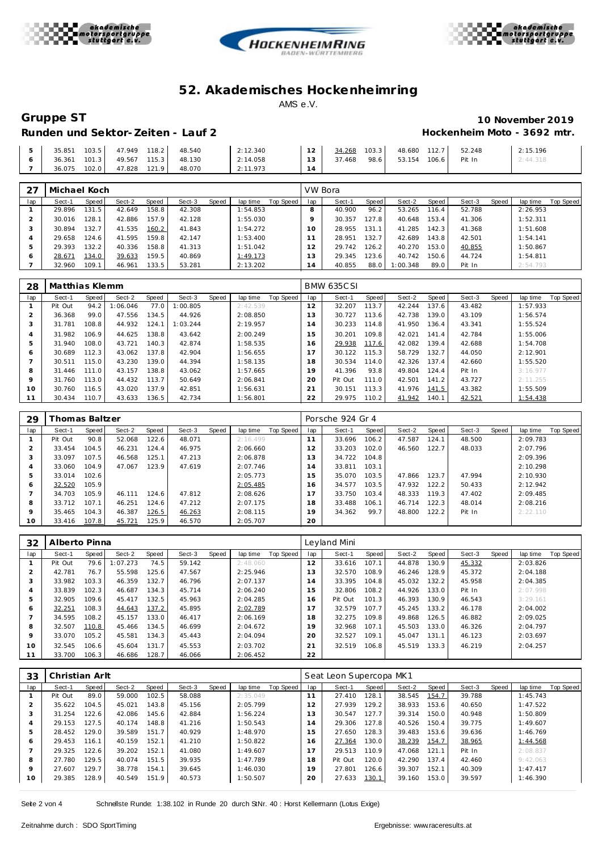





# **Gruppe ST 10 November 2019 Hockenheim Moto - 3692 mtr.**

| 35.851 | 103.5 | 47.949 118.2              | 48.540                           | 2:12.340  | 12     |        |                   | 34.268 103.3 48.680 112.7 52.248 | 2:15.196 |
|--------|-------|---------------------------|----------------------------------|-----------|--------|--------|-------------------|----------------------------------|----------|
|        |       |                           | 36.361 101.3 49.567 115.3 48.130 | 2:14.058  | $13-1$ | 37.468 | 98.6 53.154 106.6 | Pit In                           | 2:44.318 |
|        |       | 36.075 102.0 47.828 121.9 | 48.070                           | 12:11.973 |        |        |                   |                                  |          |

| 27  | Michael Koch |       |        |       |        |       |          |           |                | VW Bora |       |          |                    |        |       |          |           |
|-----|--------------|-------|--------|-------|--------|-------|----------|-----------|----------------|---------|-------|----------|--------------------|--------|-------|----------|-----------|
| lap | Sect-1       | Speed | Sect-2 | Speed | Sect-3 | Speed | lap time | Top Speed | lap            | Sect-1  | Speed | Sect-2   | Speed              | Sect-3 | Speed | lap time | Top Speed |
|     | 29.896       | 131.5 | 42.649 | 58.8  | 42.308 |       | 1:54.853 |           | 8              | 40.900  | 96.2  | 53.265   | 116.4 <sub>1</sub> | 52.788 |       | 2:26.953 |           |
|     | 30.016       | 128.1 | 42.886 | 157.9 | 42.128 |       | 1:55.030 |           |                | 30.357  | 127.8 | 40.648   | 153.4              | 41.306 |       | 1:52.311 |           |
| З   | 30.894       | 132.7 | 41.535 | 160.2 | 41.843 |       | 1:54.272 |           | 10             | 28.955  | 131.1 | 41.285   | 142.3              | 41.368 |       | 1:51.608 |           |
| 4   | 29.658       | 124.6 | 41.595 | 159.8 | 42.147 |       | 1:53.400 |           |                | 28.951  | 132.7 | 42.689   | 143.8              | 42.501 |       | 1:54.141 |           |
| ь   | 29.393       | 132.2 | 40.336 | 58.8  | 41.313 |       | 1:51.042 |           | 12             | 29.742  | 126.2 | 40.270   | 153.0              | 40.855 |       | 1:50.867 |           |
| Ô   | 28.671       | 134.0 | 39.633 | 159.5 | 40.869 |       | 1:49.173 |           | 13             | 29.345  | 123.6 | 40.742   | 150.6              | 44.724 |       | 1:54.811 |           |
|     | 32.960       | 109.1 | 46.961 | 33.5  | 53.281 |       | 2:13.202 |           | $\overline{4}$ | 40.855  | 88.0  | 1:00.348 | 89.0               | Pit In |       | 2:54.793 |           |

| 28  | Matthias Klemm |       |         |       |          |       |          |           |     | <b>BMW 635CSI</b> |       |        |       |        |       |          |                  |
|-----|----------------|-------|---------|-------|----------|-------|----------|-----------|-----|-------------------|-------|--------|-------|--------|-------|----------|------------------|
| lap | Sect-1         | Speed | Sect-2  | Speed | Sect-3   | Speed | lap time | Top Speed | lap | Sect-1            | Speed | Sect-2 | Speed | Sect-3 | Speed | lap time | <b>Top Speed</b> |
|     | Pit Out        | 94.2  | :06.046 | 77.0  | 1:00.805 |       | 2:42.539 |           | 12  | 32.207            | 113.7 | 42.244 | 137.6 | 43.482 |       | 1:57.933 |                  |
|     | 36.368         | 99.0  | 47.556  | 134.5 | 44.926   |       | 2:08.850 |           | 13  | 30.727            | 113.6 | 42.738 | 139.0 | 43.109 |       | 1:56.574 |                  |
| 3   | 31.781         | 108.8 | 44.932  | 124.1 | 1:03.244 |       | 2:19.957 |           | 14  | 30.233            | 114.8 | 41.950 | 136.4 | 43.341 |       | 1:55.524 |                  |
|     | 31.982         | 106.9 | 44.625  | 138.8 | 43.642   |       | 2:00.249 |           | 15  | 30.201            | 109.8 | 42.021 | 141.4 | 42.784 |       | 1:55.006 |                  |
| 5   | 31.940         | 108.0 | 43.721  | 140.3 | 42.874   |       | 1:58.535 |           | 16  | 29.938            | 117.6 | 42.082 | 139.4 | 42.688 |       | 1:54.708 |                  |
| 6   | 30.689         | 112.3 | 43.062  | 137.8 | 42.904   |       | 1:56.655 |           | 17  | 30.122            | 115.3 | 58.729 | 132.7 | 44.050 |       | 2:12.901 |                  |
|     | 30.511         | 115.0 | 43.230  | 139.0 | 44.394   |       | 1:58.135 |           | 18  | 30.534            | 114.0 | 42.326 | 137.4 | 42.660 |       | 1:55.520 |                  |
| 8   | 31.446         | 111.0 | 43.157  | 138.8 | 43.062   |       | 1:57.665 |           | 19  | 41.396            | 93.8  | 49.804 | 124.4 | Pit In |       | 3:16.977 |                  |
| 9   | 31.760         | 113.0 | 44.432  | 113.7 | 50.649   |       | 2:06.841 |           | 20  | Pit Out           | 111.0 | 42.501 | 141.2 | 43.727 |       | 2:11.255 |                  |
| 10  | 30.760         | 116.5 | 43.020  | 137.9 | 42.851   |       | 1:56.631 |           | 21  | 30.151            | 113.3 | 41.976 | 141.5 | 43.382 |       | 1:55.509 |                  |
| 11  | 30.434         | 110.7 | 43.633  | 136.5 | 42.734   |       | 1:56.801 |           | 22  | 29.975            | 110.2 | 41.942 | 140.1 | 42.521 |       | 1:54.438 |                  |

| 29      | Thomas Baltzer |       |        |       |        |       |          |           |     | Porsche 924 Gr 4 |       |        |       |        |       |          |           |
|---------|----------------|-------|--------|-------|--------|-------|----------|-----------|-----|------------------|-------|--------|-------|--------|-------|----------|-----------|
| lap     | Sect-1         | Speed | Sect-2 | Speed | Sect-3 | Speed | lap time | Top Speed | lap | Sect-1           | Speed | Sect-2 | Speed | Sect-3 | Speed | lap time | Top Speed |
|         | Pit Out        | 90.8  | 52.068 | 122.6 | 48.071 |       | 2:16.499 |           | 11  | 33.696           | 106.2 | 47.587 | 124.1 | 48.500 |       | 2:09.783 |           |
|         | 33.454         | 104.5 | 46.231 | 124.4 | 46.975 |       | 2:06.660 |           | 12  | 33.203           | 102.0 | 46.560 | 122.7 | 48.033 |       | 2:07.796 |           |
| 3       | 33.097         | 107.5 | 46.568 | 125.1 | 47.213 |       | 2:06.878 |           | 13  | 34.722           | 104.8 |        |       |        |       | 2:09.396 |           |
| 4       | 33.060         | 104.9 | 47.067 | 123.9 | 47.619 |       | 2:07.746 |           | 14  | 33.811           | 103.1 |        |       |        |       | 2:10.298 |           |
| 5       | 33.014         | 102.6 |        |       |        |       | 2:05.773 |           | 15  | 35.070           | 103.5 | 47.866 | 123.7 | 47.994 |       | 2:10.930 |           |
| 6       | 32.520         | 105.9 |        |       |        |       | 2:05.485 |           | 16  | 34.577           | 103.5 | 47.932 | 122.2 | 50.433 |       | 2:12.942 |           |
|         | 34.703         | 105.9 | 46.111 | 124.6 | 47.812 |       | 2:08.626 |           | 17  | 33.750           | 103.4 | 48.333 | 119.3 | 47.402 |       | 2:09.485 |           |
| 8       | 33.712         | 107.1 | 46.251 | 124.6 | 47.212 |       | 2:07.175 |           | 18  | 33.488           | 106.1 | 46.714 | 122.3 | 48.014 |       | 2:08.216 |           |
| $\circ$ | 35.465         | 104.3 | 46.387 | 126.5 | 46.263 |       | 2:08.115 |           | 19  | 34.362           | 99.7  | 48.800 | 122.2 | Pit In |       | 2:22.110 |           |
| 10      | 33.416         | 107.8 | 45.721 | 125.9 | 46.570 |       | 2:05.707 |           | 20  |                  |       |        |       |        |       |          |           |

| 32  | Alberto Pinna |       |          |       |        |       |          |           |                | Leyland Mini |       |        |       |        |       |          |           |
|-----|---------------|-------|----------|-------|--------|-------|----------|-----------|----------------|--------------|-------|--------|-------|--------|-------|----------|-----------|
| lap | Sect-1        | Speed | Sect-2   | Speed | Sect-3 | Speed | lap time | Top Speed | lap            | Sect-1       | Speed | Sect-2 | Speed | Sect-3 | Speed | lap time | Top Speed |
|     | Pit Out       | 79.6  | : 07.273 | 74.5  | 59.142 |       | 2:48.060 |           | 12             | 33.616       | 107.1 | 44.878 | 130.9 | 45.332 |       | 2:03.826 |           |
|     | 42.781        | 76.7  | 55.598   | 125.6 | 47.567 |       | 2:25.946 |           | 13             | 32.570       | 108.9 | 46.246 | 128.9 | 45.372 |       | 2:04.188 |           |
|     | 33.982        | 103.3 | 46.359   | 132.7 | 46.796 |       | 2:07.137 |           | $\overline{A}$ | 33.395       | 104.8 | 45.032 | 132.2 | 45.958 |       | 2:04.385 |           |
| 4   | 33.839        | 102.3 | 46.687   | 134.3 | 45.714 |       | 2:06.240 |           | ' 5            | 32.806       | 108.2 | 44.926 | 133.0 | Pit In |       | 2:07.998 |           |
| 5   | 32.905        | 109.6 | 45.417   | 132.5 | 45.963 |       | 2:04.285 |           | ×.<br>16       | Pit Out      | 101.3 | 46.393 | 130.9 | 46.543 |       | 3:29.161 |           |
| 6   | 32.251        | 108.3 | 44.643   | 137.2 | 45.895 |       | 2:02.789 |           |                | 32.579       | 107.7 | 45.245 | 133.2 | 46.178 |       | 2:04.002 |           |
|     | 34.595        | 108.2 | 45.157   | 133.0 | 46.417 |       | 2:06.169 |           | 18             | 32.275       | 109.8 | 49.868 | 126.5 | 46.882 |       | 2:09.025 |           |
| 8   | 32.507        | 110.8 | 45.466   | 134.5 | 46.699 |       | 2:04.672 |           | 19             | 32.968       | 107.1 | 45.503 | 133.0 | 46.326 |       | 2:04.797 |           |
| 9   | 33.070        | 105.2 | 45.581   | 134.3 | 45.443 |       | 2:04.094 |           | 20             | 32.527       | 109.1 | 45.047 | 131.1 | 46.123 |       | 2:03.697 |           |
| 10  | 32.545        | 106.6 | 45.604   | 131.7 | 45.553 |       | 2:03.702 |           | 21             | 32.519       | 106.8 | 45.519 | 133.3 | 46.219 |       | 2:04.257 |           |
|     | 33.700        | 106.3 | 46.686   | 128.7 | 46.066 |       | 2:06.452 |           | 22             |              |       |        |       |        |       |          |           |

| 33  | Christian Arlt |       |        |       |        |       |          |                  | Seat Leon Supercopa MK1 |         |       |        |       |        |       |          |           |
|-----|----------------|-------|--------|-------|--------|-------|----------|------------------|-------------------------|---------|-------|--------|-------|--------|-------|----------|-----------|
| lap | Sect-1         | Speed | Sect-2 | Speed | Sect-3 | Speed | lap time | <b>Top Speed</b> | lap                     | Sect-1  | Speed | Sect-2 | Speed | Sect-3 | Speed | lap time | Top Speed |
|     | Pit Out        | 89.0  | 59.000 | 102.5 | 58.088 |       | 2:35.049 |                  |                         | 27.410  | 128.1 | 38.545 | 154.7 | 39.788 |       | 1:45.743 |           |
|     | 35.622         | 104.5 | 45.021 | 143.8 | 45.156 |       | 2:05.799 |                  | 2                       | 27.939  | 129.2 | 38.933 | 153.6 | 40.650 |       | 1:47.522 |           |
|     | 31.254         | 122.6 | 42.086 | 145.6 | 42.884 |       | 1:56.224 |                  | 3                       | 30.547  | 127.7 | 39.314 | 150.0 | 40.948 |       | 1:50.809 |           |
| 4   | 29.153         | 127.5 | 40.174 | 148.8 | 41.216 |       | 1:50.543 |                  | $\overline{A}$          | 29.306  | 127.8 | 40.526 | 150.4 | 39.775 |       | 1:49.607 |           |
| 5   | 28.452         | 129.0 | 39.589 | 151.7 | 40.929 |       | 1:48.970 |                  | 5                       | 27.650  | 128.3 | 39.483 | 153.6 | 39.636 |       | 1:46.769 |           |
| 6   | 29.453         | 116.1 | 40.159 | 152.1 | 41.210 |       | 1:50.822 |                  | $\overline{6}$          | 27.364  | 130.0 | 38.239 | 154.7 | 38.965 |       | 1:44.568 |           |
|     | 29.325         | 122.6 | 39.202 | 152.1 | 41.080 |       | 1:49.607 |                  |                         | 29.513  | 110.9 | 47.068 | 121.1 | Pit In |       | 2:08.837 |           |
| 8   | 27.780         | 129.5 | 40.074 | 151.5 | 39.935 |       | 1:47.789 |                  | 18                      | Pit Out | 120.0 | 42.290 | 137.4 | 42.460 |       | 9:42.063 |           |
| 9   | 27.607         | 129.7 | 38.778 | 154.1 | 39.645 |       | 1:46.030 |                  | 19                      | 27.801  | 126.6 | 39.307 | 152.1 | 40.309 |       | 1:47.417 |           |
| 10  | 29.385         | 128.9 | 40.549 | 151.9 | 40.573 |       | 1:50.507 |                  | 20                      | 27.633  | 130.1 | 39.160 | 153.0 | 39.597 |       | 1:46.390 |           |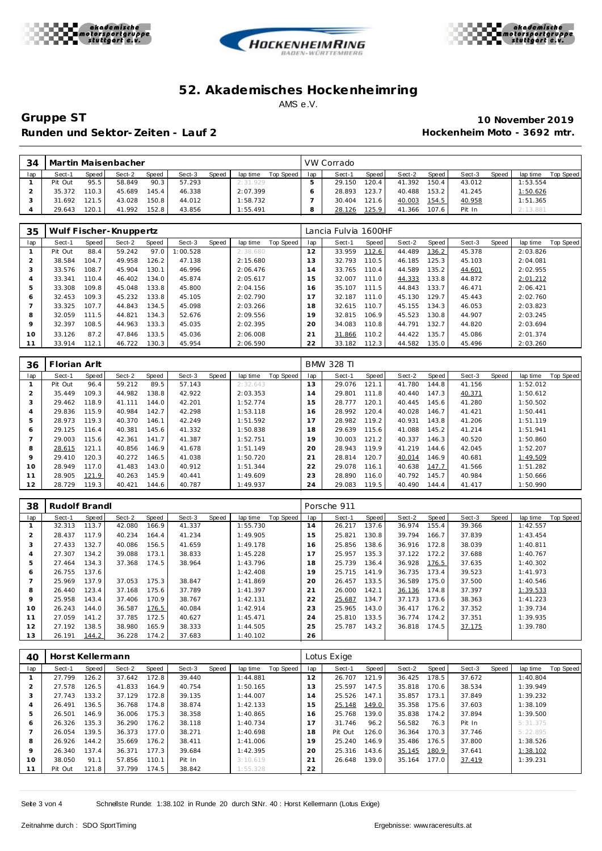





**Gruppe ST 10 November 2019** Runden und Sektor-Zeiten - Lauf 2 **an alle an alle an alle an alle an alle an alle an alle an alle an alle an alle a** 

| 34  | Martin Maisenbacher |         |        |       |        |       |          |           |     | VW Corrado |                    |        |       |        |       |                 |           |
|-----|---------------------|---------|--------|-------|--------|-------|----------|-----------|-----|------------|--------------------|--------|-------|--------|-------|-----------------|-----------|
| lap | Sect-1              | Speed I | Sect-2 | Speed | Sect-3 | Speed | lap time | Top Speed | lap | Sect-1     | <b>Speed</b>       | Sect-2 | Speed | Sect-3 | Speed | lap time        | Top Speed |
|     | Pit Out             | 95.5    | 58.849 | 90.3  | 57.293 |       | 2:31.929 |           |     | 29.150     | 120.4              | 41.392 | 150.4 | 43.012 |       | 1:53.554        |           |
|     | 35.372              | 110.3   | 45.689 | 145.4 | 46.338 |       | 2:07.399 |           |     | 28.893     | 123.7              | 40.488 | 153.2 | 41.245 |       | <u>1:50.626</u> |           |
|     | 31.692              | 121.5   | 43.028 | 150.8 | 44.012 |       | : 58.732 |           |     | 30.404     | 121.6 <sub>1</sub> | 40.003 | 154.5 | 40.958 |       | 1:51.365        |           |
|     | 29.643              | 120.1   | 41.992 | 152.8 | 43.856 |       | 1:55.491 |           |     | 28.126     | 125.9              | 41.366 | 107.6 | Pit In |       | 2:13.881        |           |

| 35           | Wulf Fischer-Knuppertz |       |        |       |          |       |          |           |     | Lancia Fulvia 1600HF |       |        |       |        |       |          |           |  |
|--------------|------------------------|-------|--------|-------|----------|-------|----------|-----------|-----|----------------------|-------|--------|-------|--------|-------|----------|-----------|--|
| lap          | Sect-1                 | Speed | Sect-2 | Speed | Sect-3   | Speed | lap time | Top Speed | lap | Sect-1               | Speed | Sect-2 | Speed | Sect-3 | Speed | lap time | Top Speed |  |
|              | Pit Out                | 88.4  | 59.242 | 97.0  | 1:00.528 |       | 2:38.680 |           | 12  | 33.959               | 112.6 | 44.489 | 136.2 | 45.378 |       | 2:03.826 |           |  |
|              | 38.584                 | 104.7 | 49.958 | 126.2 | 47.138   |       | 2:15.680 |           | 3   | 32.793               | 110.5 | 46.185 | 125.3 | 45.103 |       | 2:04.081 |           |  |
|              | 33.576                 | 108.7 | 45.904 | 130.1 | 46.996   |       | 2:06.476 |           | 14  | 33.765               | 110.4 | 44.589 | 135.2 | 44.601 |       | 2:02.955 |           |  |
|              | 33.341                 | 110.4 | 46.402 | 134.0 | 45.874   |       | 2:05.617 |           | 15  | 32.007               | 111.0 | 44.333 | 133.8 | 44.872 |       | 2:01.212 |           |  |
| 5            | 33.308                 | 109.8 | 45.048 | 133.8 | 45.800   |       | 2:04.156 |           | 6   | 35.107               | 111.5 | 44.843 | 133.7 | 46.471 |       | 2:06.421 |           |  |
| <sub>6</sub> | 32.453                 | 109.3 | 45.232 | 133.8 | 45.105   |       | 2:02.790 |           | 17  | 32.187               | 111.0 | 45.130 | 129.7 | 45.443 |       | 2:02.760 |           |  |
|              | 33.325                 | 107.7 | 44.843 | 134.5 | 45.098   |       | 2:03.266 |           | 18  | 32.615               | 110.7 | 45.155 | 134.3 | 46.053 |       | 2:03.823 |           |  |
| 8            | 32.059                 | 111.5 | 44.821 | 134.3 | 52.676   |       | 2:09.556 |           | 19  | 32.815               | 106.9 | 45.523 | 130.8 | 44.907 |       | 2:03.245 |           |  |
| $\circ$      | 32.397                 | 108.5 | 44.963 | 133.3 | 45.035   |       | 2:02.395 |           | 20  | 34.083               | 110.8 | 44.791 | 132.7 | 44.820 |       | 2:03.694 |           |  |
| 10           | 33.126                 | 87.2  | 47.846 | 133.5 | 45.036   |       | 2:06.008 |           | 21  | 31.866               | 110.2 | 44.422 | 135.7 | 45.086 |       | 2:01.374 |           |  |
|              | 33.914                 | 112.1 | 46.722 | 130.3 | 45.954   |       | 2:06.590 |           | 22  | 33.182               | 112.3 | 44.582 | 135.0 | 45.496 |       | 2:03.260 |           |  |

| 36  | Florian Arlt |       |        |       |        |       |          |           |     | <b>BMW 328 TI</b> |       |        |       |        |       |          |           |
|-----|--------------|-------|--------|-------|--------|-------|----------|-----------|-----|-------------------|-------|--------|-------|--------|-------|----------|-----------|
| lap | Sect-1       | Speed | Sect-2 | Speed | Sect-3 | Speed | lap time | Top Speed | lap | Sect-1            | Speed | Sect-2 | Speed | Sect-3 | Speed | lap time | Top Speed |
|     | Pit Out      | 96.4  | 59.212 | 89.5  | 57.143 |       | 2:32.643 |           | 13  | 29.076            | 121.1 | 41.780 | 144.8 | 41.156 |       | 1:52.012 |           |
| ∠   | 35.449       | 109.3 | 44.982 | 138.8 | 42.922 |       | 2:03.353 |           | 14  | 29.801            | 111.8 | 40.440 | 147.3 | 40.371 |       | 1:50.612 |           |
| 3   | 29.462       | 118.9 | 41.111 | 144.0 | 42.201 |       | 1:52.774 |           | 15  | 28.777            | 120.1 | 40.445 | 145.6 | 41.280 |       | 1:50.502 |           |
| 4   | 29.836       | 115.9 | 40.984 | 142.7 | 42.298 |       | 1:53.118 |           | 16  | 28.992            | 120.4 | 40.028 | 146.7 | 41.421 |       | 1:50.441 |           |
|     | 28.973       | 119.3 | 40.370 | 146.1 | 42.249 |       | 1:51.592 |           | 17  | 28.982            | 119.2 | 40.931 | 143.8 | 41.206 |       | 1:51.119 |           |
| 6   | 29.125       | 116.4 | 40.381 | 145.6 | 41.332 |       | 1:50.838 |           | 18  | 29.639            | 115.6 | 41.088 | 145.2 | 41.214 |       | 1:51.941 |           |
|     | 29.003       | 115.6 | 42.361 | 141.7 | 41.387 |       | 1:52.751 |           | 19  | 30.003            | 121.2 | 40.337 | 146.3 | 40.520 |       | 1:50.860 |           |
| 8   | 28.615       | 121.1 | 40.856 | 146.9 | 41.678 |       | 1:51.149 |           | 20  | 28.943            | 119.9 | 41.219 | 144.6 | 42.045 |       | 1:52.207 |           |
| 9   | 29.410       | 120.3 | 40.272 | 146.5 | 41.038 |       | 1:50.720 |           | 21  | 28.814            | 120.7 | 40.014 | 146.9 | 40.681 |       | 1:49.509 |           |
| 10  | 28.949       | 117.0 | 41.483 | 143.0 | 40.912 |       | 1:51.344 |           | 22  | 29.078            | 116.1 | 40.638 | 147.7 | 41.566 |       | 1:51.282 |           |
| 11  | 28.905       | 121.9 | 40.263 | 145.9 | 40.441 |       | 1:49.609 |           | 23  | 28.890            | 116.0 | 40.792 | 145.7 | 40.984 |       | 1:50.666 |           |
| 12  | 28.729       | 119.3 | 40.421 | 144.6 | 40.787 |       | 1:49.937 |           | 24  | 29.083            | 119.5 | 40.490 | 144.4 | 41.417 |       | 1:50.990 |           |

| 38      | Rudolf Brandl |       |        |       |        |       |          |           |     | Porsche 911 |       |        |       |        |       |          |           |
|---------|---------------|-------|--------|-------|--------|-------|----------|-----------|-----|-------------|-------|--------|-------|--------|-------|----------|-----------|
| lap     | Sect-1        | Speed | Sect-2 | Speed | Sect-3 | Speed | lap time | Top Speed | lap | Sect-1      | Speed | Sect-2 | Speed | Sect-3 | Speed | lap time | Top Speed |
|         | 32.313        | 113.7 | 42.080 | 166.9 | 41.337 |       | 1:55.730 |           | 14  | 26.217      | 137.6 | 36.974 | 155.4 | 39.366 |       | 1:42.557 |           |
|         | 28.437        | 117.9 | 40.234 | 164.4 | 41.234 |       | 1:49.905 |           | 15  | 25.821      | 130.8 | 39.794 | 166.7 | 37.839 |       | 1:43.454 |           |
| 3       | 27.433        | 132.7 | 40.086 | 156.5 | 41.659 |       | 1:49.178 |           | 16  | 25.856      | 138.6 | 36.916 | 172.8 | 38.039 |       | 1:40.811 |           |
| 4       | 27.307        | 134.2 | 39.088 | 173.1 | 38.833 |       | 1:45.228 |           |     | 25.957      | 135.3 | 37.122 | 172.2 | 37.688 |       | 1:40.767 |           |
| 5       | 27.464        | 134.3 | 37.368 | 174.5 | 38.964 |       | 1:43.796 |           | 18  | 25.739      | 136.4 | 36.928 | 176.5 | 37.635 |       | 1:40.302 |           |
| O       | 26.755        | 137.6 |        |       |        |       | 1:42.408 |           | 19  | 25.715      | 141.9 | 36.735 | 173.4 | 39.523 |       | 1:41.973 |           |
|         | 25.969        | 137.9 | 37.053 | 175.3 | 38.847 |       | 1:41.869 |           | 20  | 26.457      | 133.5 | 36.589 | 175.0 | 37.500 |       | 1:40.546 |           |
| 8       | 26.440        | 123.4 | 37.168 | 175.6 | 37.789 |       | 1:41.397 |           | 21  | 26,000      | 142.1 | 36.136 | 174.8 | 37.397 |       | 1:39.533 |           |
| $\circ$ | 25.958        | 143.4 | 37.406 | 170.9 | 38.767 |       | 1:42.131 |           | 22  | 25.687      | 134.7 | 37.173 | 173.6 | 38.363 |       | 1:41.223 |           |
| 10      | 26.243        | 144.0 | 36.587 | 176.5 | 40.084 |       | 1:42.914 |           | 23  | 25.965      | 143.0 | 36.417 | 176.2 | 37.352 |       | 1:39.734 |           |
| 11      | 27.059        | 141.2 | 37.785 | 172.5 | 40.627 |       | 1:45.471 |           | 24  | 25.810      | 133.5 | 36.774 | 174.2 | 37.351 |       | 1:39.935 |           |
| 12      | 27.192        | 138.5 | 38.980 | 165.9 | 38.333 |       | 1:44.505 |           | 25  | 25.787      | 143.2 | 36.818 | 174.5 | 37.175 |       | 1:39.780 |           |
| 13      | 26.191        | 144.2 | 36.228 | 174.2 | 37.683 |       | 1:40.102 |           | 26  |             |       |        |       |        |       |          |           |

| 40  | Horst Kellermann |       |        |       |        |       |          |           | Lotus Exige    |         |       |        |       |        |       |          |           |
|-----|------------------|-------|--------|-------|--------|-------|----------|-----------|----------------|---------|-------|--------|-------|--------|-------|----------|-----------|
| lap | Sect-1           | Speed | Sect-2 | Speed | Sect-3 | Speed | lap time | Top Speed | lap            | Sect-1  | Speed | Sect-2 | Speed | Sect-3 | Speed | lap time | Top Speed |
|     | 27.799           | 126.2 | 37.642 | 172.8 | 39.440 |       | 1:44.881 |           | 12             | 26.707  | 121.9 | 36.425 | 178.5 | 37.672 |       | 1:40.804 |           |
|     | 27.578           | 126.5 | 41.833 | 164.9 | 40.754 |       | 1:50.165 |           | 13             | 25.597  | 147.5 | 35.818 | 170.6 | 38.534 |       | 1:39.949 |           |
|     | 27.743           | 133.2 | 37.129 | 172.8 | 39.135 |       | 1:44.007 |           | $\overline{4}$ | 25.526  | 147.1 | 35.857 | 173.1 | 37.849 |       | 1:39.232 |           |
|     | 26.491           | 136.5 | 36.768 | 174.8 | 38.874 |       | 1:42.133 |           | 15             | 25.148  | 149.0 | 35.358 | 175.6 | 37.603 |       | 1:38.109 |           |
| ь   | 26.501           | 146.9 | 36.006 | 175.3 | 38.358 |       | 1:40.865 |           | 16             | 25.768  | 139.0 | 35.838 | 174.2 | 37.894 |       | 1:39.500 |           |
| 6   | 26.326           | 135.3 | 36.290 | 176.2 | 38.118 |       | 1:40.734 |           |                | 31.746  | 96.2  | 56.582 | 76.3  | Pit In |       | 5:31.375 |           |
|     | 26.054           | 139.5 | 36.373 | 177.0 | 38.271 |       | 1:40.698 |           | 18             | Pit Out | 126.0 | 36.364 | 170.3 | 37.746 |       | 5:22.895 |           |
| 8   | 26.926           | 144.2 | 35.669 | 176.2 | 38.411 |       | 1:41.006 |           | 19             | 25.240  | 146.9 | 35.486 | 176.5 | 37.800 |       | 1:38.526 |           |
| 9   | 26.340           | 137.4 | 36.371 | 177.3 | 39.684 |       | 1:42.395 |           | 20             | 25.316  | 143.6 | 35.145 | 180.9 | 37.641 |       | 1:38.102 |           |
| 10  | 38.050           | 91.1  | 57.856 | 110.1 | Pit In |       | 3:10.619 |           | 21             | 26.648  | 139.0 | 35.164 | 177.0 | 37.419 |       | 1:39.231 |           |
|     | Pit Out          | 121.8 | 37.799 | 174.5 | 38.842 |       | 1:55.328 |           | 22             |         |       |        |       |        |       |          |           |

Seite 3 von 4 Schnellste Runde: 1:38.102 in Runde 20 durch StNr. 40 : Horst Kellermann (Lotus Exige)